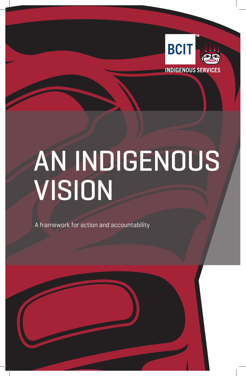

# AN INDIGENOUS VISION

A framework for action and accountability

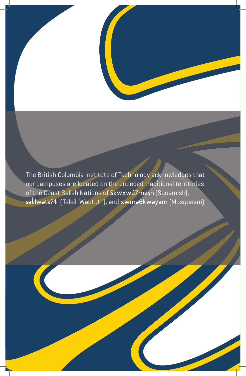The British Columbia Institute of Technology acknowledges that our campuses are located on the unceded traditional territories of the Coast Salish Nations of Skwxwú7mesh (Squamish), səlilwəta?4 [Tsleil-Waututh], and xwməθkwəy̓əm [Musqueam].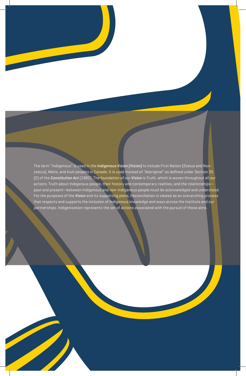The term "Indigenous" is used in the *Indigenous Vision (Vision)* to include First Nation (Status and Nonstatus), Métis, and Inuit peoples in Canada. It is used instead of "Aboriginal" as defined under Section 35 (2) of the *Constitution Act* (1982). The foundation of our *Vision* is Truth, which is woven throughout all our actions. Truth about Indigenous people, their history and contemporary realities, and the relationships past and present—between Indigenous and non-Indigenous people must be acknowledged and understood. For the purposes of the *Vision* and its supporting plans, Reconciliation is viewed as an overarching process that respects and supports the inclusion of Indigenous knowledge and ways across the Institute and our partnerships. Indigenization represents the set of <mark>action</mark>s associated with the pursuit of these aims.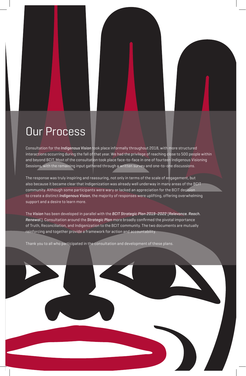### Our Process

Consultation for the *Indigenous Vision* took place informally throughout 2018, with more structured interactions occurring during the fall of that year. We had the privilege of reaching close to 500 people within and beyond BCIT. Most of the consultation took place face-to-face in one of fourteen Indigenous Visioning Sessions, with the remaining input gathered through a written survey and one-to-one discussions.

The response was truly inspiring and reassuring, not only in terms of the scale of engagement, but also because it became clear that Indigenization was already well underway in many areas of the BCIT community. Although some participants were wary or lacked an appreciation for the BCIT decision to create a distinct *Indigenous Vision*, the majority of responses were uplifting, offering overwhelming support and a desire to learn more.

The *Vision* has been developed in parallel with the *BCIT Strategic Plan 2019–2022* (*Relevance. Reach. Renewal.*). Consultation around the *Strategic Plan* more broadly confirmed the pivotal importance of Truth, Reconciliation, and Indigenization to the BCIT community. The two documents are mutually reinforcing and together provide a framework for action and accountability.

Thank you to all who participated in the consultation and development of these plans.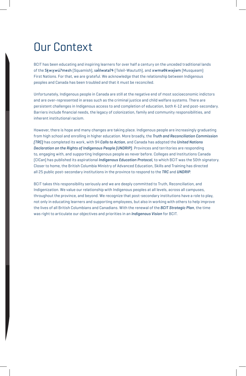### Our Context

BCIT has been educating and inspiring learners for over half a century on the unceded traditional lands of the Skwxwú7mesh (Squamish), salilwəta?4 (Tsleil-Waututh), and xwməθkwəy̓əm (Musqueam) First Nations. For that, we are grateful. We acknowledge that the relationship between Indigenous peoples and Canada has been troubled and that it must be reconciled.

Unfortunately, Indigenous people in Canada are still at the negative end of most socioeconomic indictors and are over-represented in areas such as the criminal justice and child welfare systems. There are persistent challenges in Indigenous access to and completion of education, both K-12 and post-secondary. Barriers include financial needs, the legacy of colonization, family and community responsibilities, and inherent institutional racism.

However, there is hope and many changes are taking place. Indigenous people are increasingly graduating from high school and enrolling in higher education. More broadly, the *Truth and Reconciliation Commission (TRC)* has completed its work, with 94 *Calls to Action*, and Canada has adopted the *United Nations Declaration on the Rights of Indigenous People (UNDRIP)*. Provinces and territories are responding to, engaging with, and supporting Indigenous people as never before. Colleges and Institutions Canada (CICan) has published its aspirational *Indigenous Education Protocol,* to which BCIT was the 50th signatory. Closer to home, the British Columbia Ministry of Advanced Education, Skills and Training has directed all 25 public post-secondary institutions in the province to respond to the *TRC* and *UNDRIP*.

BCIT takes this responsibility seriously and we are deeply committed to Truth, Reconciliation, and Indigenization. We value our relationship with Indigenous peoples at all levels, across all campuses, throughout the province, and beyond. We recognize that post-secondary institutions have a role to play, not only in educating learners and supporting employees, but also in working with others to help improve the lives of all British Columbians and Canadians. With the renewal of the *BCIT Strategic Plan*, the time was right to articulate our objectives and priorities in an *Indigenous Vision* for BCIT.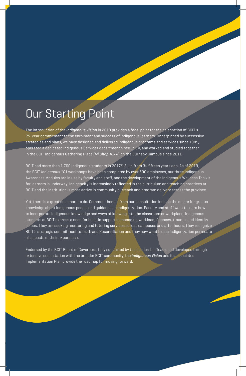### Our Starting Point

The introduction of the *Indigenous Vision* in 2019 provides a focal point for the celebration of BCIT's 25-year commitment to the enrolment and success of Indigenous learners. Underpinned by successive strategies and plans, we have designed and delivered Indigenous programs and services since 1985, operated a dedicated Indigenous Services department since 1994, and worked and studied together in the BCIT Indigenous Gathering Place (*Mi Chap Tukw*) on the Burnaby Campus since 2011.

BCIT had more than 1,700 Indigenous students in 2017/18, up from 34 fifteen years ago. As of 2019, the BCIT *Indigenous 101* workshops have been completed by over 500 employees, our three Indigenous Awareness Modules are in use by faculty and staff, and the development of the Indigenous Wellness Toolkit for learners is underway. Indigeneity is increasingly reflected in the curriculum and teaching practices at BCIT and the institution is more active in community outreach and program delivery across the province.

Yet, there is a great deal more to do. Common themes from our consultation include the desire for greater knowledge about Indigenous people and guidance on Indigenization. Faculty and staff want to learn how to incorporate Indigenous knowledge and ways of knowing into the classroom or workplace. Indigenous students at BCIT express a need for holistic support in managing workload, finances, trauma, and identity issues. They are seeking mentoring and tutoring services across campuses and after hours. They recognize BCIT's strategic commitment to Truth and Reconciliation and they now want to see Indigenization permeate all aspects of their experience.

Endorsed by the BCIT Board of Governors, fully supported by the Leadership Team, and developed through extensive consultation with the broader BCIT community, the *Indigenous Vision* and its associated Implementation Plan provide the roadmap for moving forward.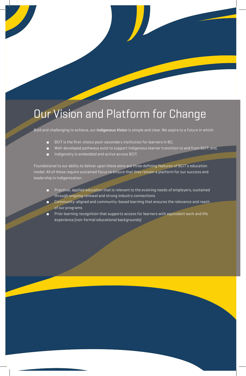### Our Vision and Platform for Change

Bold and challenging to achieve, our *Indigenous Vision* is simple and clear. We aspire to a future in which:

- BCIT is the first-choice post-secondary institution for learners in BC;<br>■ Well-developed pathways exist to support Indigenous learner transiti
- Well-developed pathways exist to support Indigenous learner transition to and from BCIT; and,<br>■ Indigeneity is embedded and active across BCIT.
- ∆ Indigeneity is embedded and active across BCIT.

Foundational to our ability to deliver upon these aims are three defining features of BCIT's education model. All of these require sustained focus to ensure that they remain a platform for our success and leadership in Indigenization:

- Practical, applied education that is relevant to the evolving needs of employers, sustained through ongoing renewal and strong industry connections
- ∠ Community-aligned and community-based learning that ensures the relevance and reach of our programs
- Prior learning recognition that supports access for learners with equivalent work and life experience (non-formal educational backgrounds)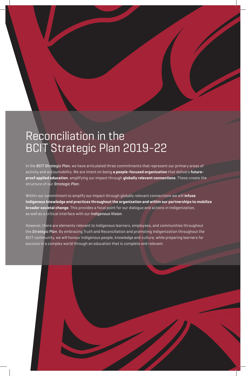### Reconciliation in the BCIT Strategic Plan 2019-22

In the *BCIT Strategic Plan*, we have articulated three commitments that represent our primary areas of activity and accountability. We are intent on being a people-focused organization that delivers futureproof applied education, amplifying our impact through globally relevant connections. These create the structure of our *Strategic Plan*.

Within our commitment to amplify our impact through globally relevant connections we will infuse Indigenous knowledge and practices throughout the organization and within our partnerships to mobilize broader societal change. This provides a focal point for our dialogue and actions in Indigenization, as well as a critical interface with our *Indigenous Vision*.

However, there are elements relevant to Indigenous learners, employees, and communities throughout the *Strategic Plan*. By embracing Truth and Reconciliation and promoting Indigenization throughout the BCIT community, we will honour Indigenous people, knowledge and culture, while preparing learners for success in a complex world through an education that is complete and relevant.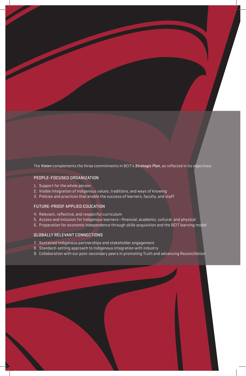The *Vision* complements the three commitments in BCIT's *Strategic Plan*, as reflected in its objectives:

#### PEOPLE-FOCUSED ORGANIZATION

1. Support for the whole person

 $\blacktriangleright$ 

- 2. Visible integration of Indigenous values, traditions, and ways of knowing
- 3. Policies and practices that enable the success of learners, faculty, and staff

#### FUTURE-PROOF APPLIED EDUCATION

- 4. Relevant, reflective, and respectful curriculum
- 5. Access and inclusion for Indigenous learners—financial, academic, cultural, and physical
- 6. Preparation for economic independence through skills acquisition and the BCIT learning model

#### GLOBALLY RELEVANT CONNECTIONS

- 7. Sustained Indigenous partnerships and stakeholder engagement
- 8. Standard-setting approach to Indigenous integration with industry
- 9. Collaboration with our post-secondary peers in promoting Truth and advancing Reconciliation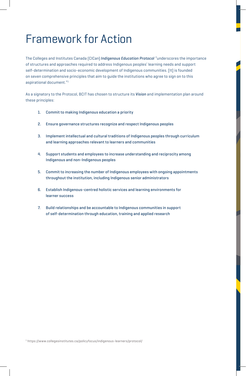### Framework for Action

The Colleges and Institutes Canada (CICan) *Indigenous Education Protocol* "underscores the importance of structures and approaches required to address Indigenous peoples' learning needs and support self-determination and socio-economic development of Indigenous communities. [It] is founded on seven comprehensive principles that aim to guide the institutions who agree to sign on to this aspirational document."1

As a signatory to the Protocol, BCIT has chosen to structure its *Vision* and implementation plan around these principles:

- 1. Commit to making Indigenous education a priority
- 2. Ensure governance structures recognize and respect Indigenous peoples
- 3. Implement intellectual and cultural traditions of Indigenous peoples through curriculum and learning approaches relevant to learners and communities
- 4. Support students and employees to increase understanding and reciprocity among Indigenous and non-Indigenous peoples
- 5. Commit to increasing the number of Indigenous employees with ongoing appointments throughout the institution, including Indigenous senior administrators
- 6. Establish Indigenous-centred holistic services and learning environments for learner success
- 7. Build relationships and be accountable to Indigenous communities in support of self-determination through education, training and applied research

<sup>1</sup> https://www.collegesinstitutes.ca/policyfocus/indigenous-learners/protocol/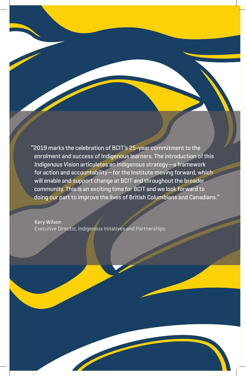"2019 marks the celebration of BCIT's 25-year commitment to the enrolment and success of Indigenous learners. The introduction of this *Indigenous Vision* articulates an Indigenous strategy—a framework for action and accountability—for the Institute moving forward, which will enable and support change at BCIT and throughout the broader community. This is an exciting time for BCIT and we look forward to doing our part to improve the lives of British Columbians and Canadians."

Kory Wilson Executive Director, Indigenous Initatives and Partnerships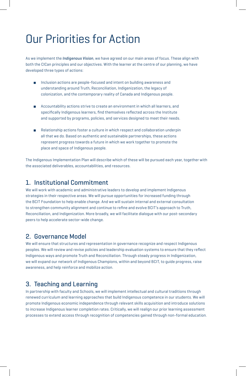### Our Priorities for Action

As we implement the *Indigenous Vision*, we have agreed on our main areas of focus. These align with both the CICan principles and our objectives. With the learner at the centre of our planning, we have developed three types of actions:

- Inclusion actions are people-focused and intent on building awareness and understanding around Truth, Reconciliation, Indigenization, the legacy of colonization, and the contemporary reality of Canada and Indigenous people.
- ∆ Accountability actions strive to create an environment in which all learners, and specifically Indigenous learners, find themselves reflected across the Institute and supported by programs, policies, and services designed to meet their needs.
- Relationship actions foster a culture in which respect and collaboration underpin all that we do. Based on authentic and sustainable partnerships, these actions represent progress towards a future in which we work together to promote the place and space of Indigenous people.

The Indigenous Implementation Plan will describe which of these will be pursued each year, together with the associated deliverables, accountabilities, and resources.

#### 1. Institutional Commitment

We will work with academic and administrative leaders to develop and implement Indigenous strategies in their respective areas. We will pursue opportunities for increased funding through the BCIT Foundation to help enable change. And we will sustain internal and external consultation to strengthen community alignment and continue to refine and evolve BCIT's approach to Truth, Reconciliation, and Indigenization. More broadly, we will facilitate dialogue with our post-secondary peers to help accelerate sector-wide change.

#### 2. Governance Model

We will ensure that structures and representation in governance recognize and respect Indigenous peoples. We will review and revise policies and leadership evaluation systems to ensure that they reflect Indigenous ways and promote Truth and Reconciliation. Through steady progress in Indigenization, we will expand our network of Indigenous Champions, within and beyond BCIT, to guide progress, raise awareness, and help reinforce and mobilize action.

### 3. Teaching and Learning

In partnership with faculty and Schools, we will implement intellectual and cultural traditions through renewed curriculum and learning approaches that build Indigenous competence in our students. We will promote Indigenous economic independence through relevant skills acquisition and introduce solutions to increase Indigenous learner completion rates. Critically, we will realign our prior learning assessment processes to extend access through recognition of competencies gained through non-formal education.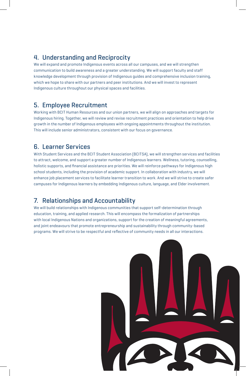#### 4. Understanding and Reciprocity

We will expand and promote Indigenous events across all our campuses, and we will strengthen communication to build awareness and a greater understanding. We will support faculty and staff knowledge development through provision of Indigenous guides and comprehensive inclusion training, which we hope to share with our partners and peer institutions. And we will invest to represent Indigenous culture throughout our physical spaces and facilities.

#### 5. Employee Recruitment

Working with BCIT Human Resources and our union partners, we will align on approaches and targets for Indigenous hiring. Together, we will review and revise recruitment practices and orientation to help drive growth in the number of Indigenous employees with ongoing appointments throughout the institution. This will include senior administrators, consistent with our focus on governance.

#### 6. Learner Services

With Student Services and the BCIT Student Association (BCITSA), we will strengthen services and facilities to attract, welcome, and support a greater number of Indigenous learners. Wellness, tutoring, counselling, holistic supports, and financial assistance are priorities. We will reinforce pathways for Indigenous high school students, including the provision of academic support. In collaboration with industry, we will enhance job placement services to facilitate learner transition to work. And we will strive to create safer campuses for Indigenous learners by embedding Indigenous culture, language, and Elder involvement.

### 7. Relationships and Accountability

We will build relationships with Indigenous communities that support self-determination through education, training, and applied research. This will encompass the formalization of partnerships with local Indigenous Nations and organizations, support for the creation of meaningful agreements, and joint endeavours that promote entrepreneurship and sustainability through community-based programs. We will strive to be respectful and reflective of community needs in all our interactions.

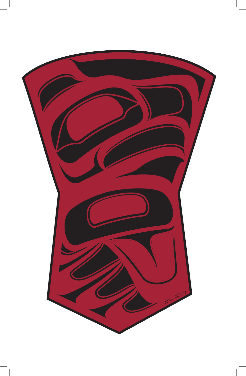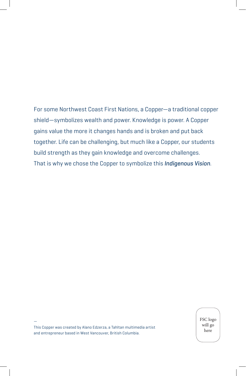### For some Northwest Coast First Nations, a Copper—a traditional copper shield—symbolizes wealth and power. Knowledge is power. A Copper gains value the more it changes hands and is broken and put back together. Life can be challenging, but much like a Copper, our students build strength as they gain knowledge and overcome challenges.

That is why we chose the Copper to symbolize this *Indigenous Vision*.

This Copper was created by Alano Edzerza, a Tahltan multimedia artist and entrepreneur based in West Vancouver, British Columbia.

—

FSC logo will go here